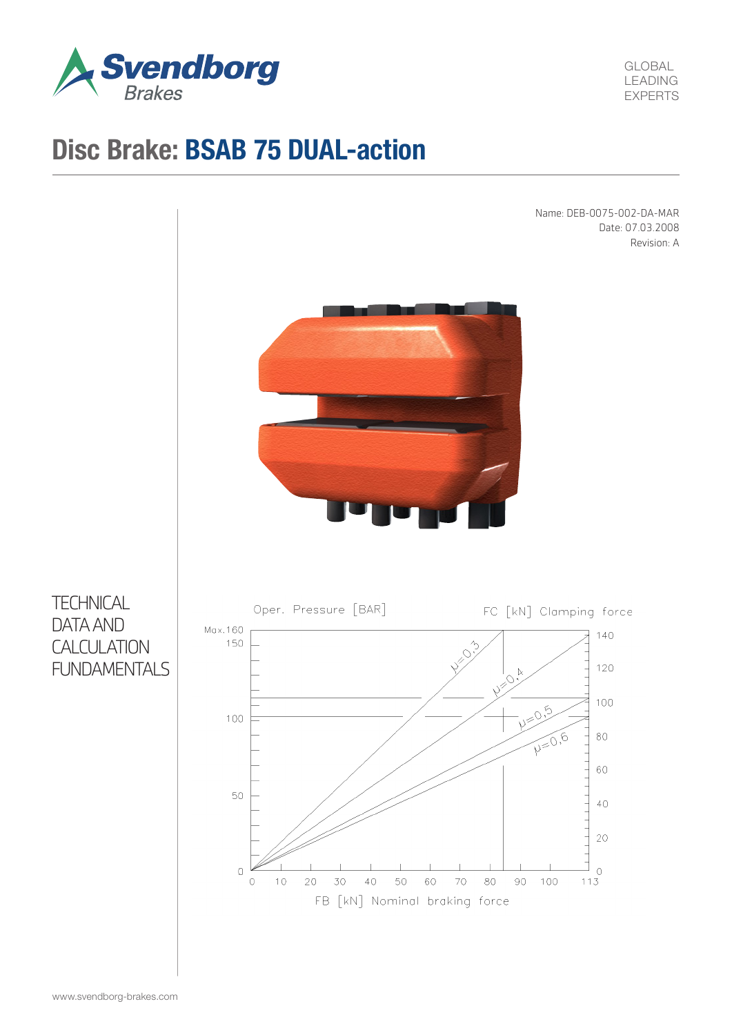

GLOBAL LEADING EXPERTS

# Disc Brake: BSAB 75 DUAL-action